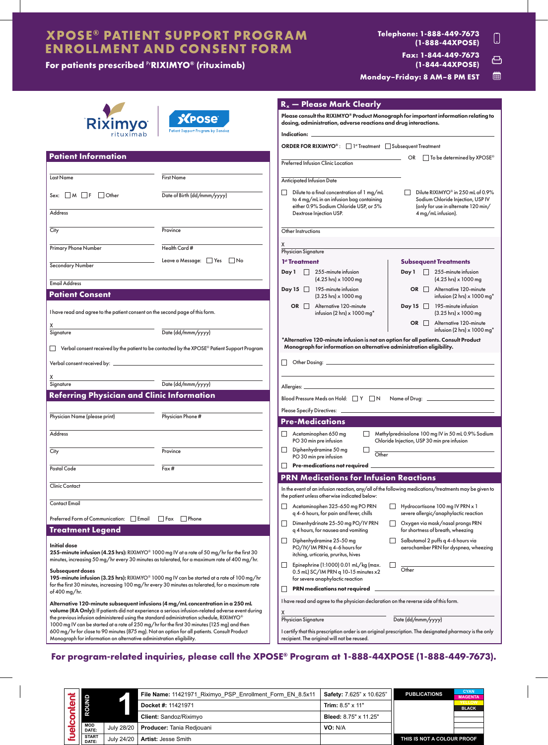# **XPOSE® PATIENT SUPPORT PROGRAM ENROLLMENT AND CONSENT FORM**

# **For patients prescribed** Pr**RIXIMYO® (rituximab)**

#### **Telephone: 1-888-449-7673**  $\Box$ **(1-888-44XPOSE) Fax: 1-844-449-7673** 凸 **(1-844-44XPOSE)**

儒 **Monday–Friday: 8 AM–8 PM EST**

|                                                                                                                                                                                                                                                                                                                   |                                                                                                     | $R_x$ - Please Mark Clearly                                                                                                                                            |                                                                                                               |
|-------------------------------------------------------------------------------------------------------------------------------------------------------------------------------------------------------------------------------------------------------------------------------------------------------------------|-----------------------------------------------------------------------------------------------------|------------------------------------------------------------------------------------------------------------------------------------------------------------------------|---------------------------------------------------------------------------------------------------------------|
| Riximyo<br>rituximab                                                                                                                                                                                                                                                                                              | <b>XPOSE</b><br><b>Patient Support Program by Sandoz</b>                                            | Please consult the RIXIMYO® Product Monograph for important information relating to<br>dosing, administration, adverse reactions and drug interactions.<br>Indication: |                                                                                                               |
|                                                                                                                                                                                                                                                                                                                   |                                                                                                     | <b>ORDER FOR RIXIMYO®:</b> □ <sup>1st</sup> Treatment □ Subsequent Treatment                                                                                           |                                                                                                               |
| <b>Patient Information</b>                                                                                                                                                                                                                                                                                        |                                                                                                     |                                                                                                                                                                        |                                                                                                               |
|                                                                                                                                                                                                                                                                                                                   |                                                                                                     | Preferred Infusion Clinic Location                                                                                                                                     | OR <b>D</b> To be determined by XPOSE <sup>®</sup>                                                            |
| Last Name                                                                                                                                                                                                                                                                                                         | <b>First Name</b>                                                                                   |                                                                                                                                                                        |                                                                                                               |
|                                                                                                                                                                                                                                                                                                                   |                                                                                                     | <b>Anticipated Infusion Date</b>                                                                                                                                       |                                                                                                               |
| $Sex: M \rightharpoonup F$ Other                                                                                                                                                                                                                                                                                  | Date of Birth (dd/mmm/yyyy)                                                                         | Dilute to a final concentration of 1 mg/mL<br>$\mathsf{L}$<br>to 4 mg/mL in an infusion bag containing<br>either 0.9% Sodium Chloride USP, or 5%                       | Dilute RIXIMYO® in 250 mL of 0.9%<br>Sodium Chloride Injection, USP IV<br>(only for use in alternate 120 min/ |
| <b>Address</b>                                                                                                                                                                                                                                                                                                    |                                                                                                     | Dextrose Injection USP.                                                                                                                                                | 4 mg/mL infusion).                                                                                            |
| City                                                                                                                                                                                                                                                                                                              | Province                                                                                            | Other Instructions                                                                                                                                                     |                                                                                                               |
| Primary Phone Number                                                                                                                                                                                                                                                                                              | Health Card #                                                                                       |                                                                                                                                                                        |                                                                                                               |
|                                                                                                                                                                                                                                                                                                                   | Leave a Message: Yes<br>No                                                                          | Physician Signature<br>1 <sup>st</sup> Treatment                                                                                                                       | <b>Subsequent Treatments</b>                                                                                  |
| Secondary Number                                                                                                                                                                                                                                                                                                  |                                                                                                     | Day $1 \quad 255$ -minute infusion<br>(4.25 hrs) x 1000 mg                                                                                                             | Day 1 255-minute infusion<br>$(4.25 \text{ hrs}) \times 1000 \text{ mg}$                                      |
| <b>Email Address</b>                                                                                                                                                                                                                                                                                              |                                                                                                     | Day 15 $\Box$ 195-minute infusion                                                                                                                                      | OR Alternative 120-minute                                                                                     |
| <b>Patient Consent</b>                                                                                                                                                                                                                                                                                            |                                                                                                     | (3.25 hrs) x 1000 mg                                                                                                                                                   | infusion (2 hrs) $\times$ 1000 mg <sup>*</sup>                                                                |
| I have read and agree to the patient consent on the second page of this form.                                                                                                                                                                                                                                     |                                                                                                     | OR $\Box$<br>Alternative 120-minute<br>infusion (2 hrs) $\times$ 1000 mg <sup>*</sup>                                                                                  | Day 15 195-minute infusion<br>$(3.25 \text{ hrs}) \times 1000 \text{ mg}$                                     |
|                                                                                                                                                                                                                                                                                                                   |                                                                                                     |                                                                                                                                                                        | OR Alternative 120-minute<br>infusion (2 hrs) $\times$ 1000 mg <sup>*</sup>                                   |
| Signature                                                                                                                                                                                                                                                                                                         | Date (dd/mmm/yyyy)                                                                                  | *Alternative 120-minute infusion is not an option for all patients. Consult Product                                                                                    |                                                                                                               |
|                                                                                                                                                                                                                                                                                                                   | $\Box$ Verbal consent received by the patient to be contacted by the XPOSE® Patient Support Program | Monograph for information on alternative administration eligibility.                                                                                                   |                                                                                                               |
|                                                                                                                                                                                                                                                                                                                   |                                                                                                     |                                                                                                                                                                        |                                                                                                               |
|                                                                                                                                                                                                                                                                                                                   |                                                                                                     |                                                                                                                                                                        |                                                                                                               |
| Signature                                                                                                                                                                                                                                                                                                         | Date (dd/mmm/yyyy)                                                                                  |                                                                                                                                                                        |                                                                                                               |
| <b>Referring Physician and Clinic Information</b>                                                                                                                                                                                                                                                                 |                                                                                                     | Blood Pressure Meds on Hold: TY TN Name of Drug: _______________________________                                                                                       |                                                                                                               |
|                                                                                                                                                                                                                                                                                                                   |                                                                                                     |                                                                                                                                                                        |                                                                                                               |
| Physician Name (please print)                                                                                                                                                                                                                                                                                     | Physician Phone #                                                                                   | Please Specify Directives: __________                                                                                                                                  |                                                                                                               |
|                                                                                                                                                                                                                                                                                                                   |                                                                                                     | <b>Pre-Medications</b>                                                                                                                                                 |                                                                                                               |
| Address                                                                                                                                                                                                                                                                                                           |                                                                                                     | Acetaminophen 650 mg<br>PO 30 min pre infusion                                                                                                                         | Methylprednisolone 100 mg IV in 50 mL 0.9% Sodium<br>Chloride Injection, USP 30 min pre infusion              |
| City                                                                                                                                                                                                                                                                                                              | Province                                                                                            | Diphenhydramine 50 mg<br>⊔<br>$\overline{\text{Other}}$<br>PO 30 min pre infusion                                                                                      |                                                                                                               |
| Postal Code                                                                                                                                                                                                                                                                                                       | Fax#                                                                                                | Pre-medications not required<br>$\Box$                                                                                                                                 |                                                                                                               |
|                                                                                                                                                                                                                                                                                                                   |                                                                                                     | <b>PRN Medications for Infusion Reactions</b>                                                                                                                          |                                                                                                               |
| <b>Clinic Contact</b>                                                                                                                                                                                                                                                                                             |                                                                                                     | In the event of an infusion reaction, any/all of the following medications/treatments may be given to                                                                  |                                                                                                               |
| <b>Contact Email</b>                                                                                                                                                                                                                                                                                              |                                                                                                     | the patient unless otherwise indicated below:<br>Acetaminophen 325-650 mg PO PRN                                                                                       | Hydrocortisone 100 mg IV PRN x 1                                                                              |
| Preferred Form of Communication: Email<br>$\Box$ Fax $\Box$ Phone                                                                                                                                                                                                                                                 |                                                                                                     | q 4-6 hours, for pain and fever, chills                                                                                                                                | severe allergic/anaphylactic reaction                                                                         |
| <b>Treatment Legend</b>                                                                                                                                                                                                                                                                                           |                                                                                                     | Dimenhydrinate 25-50 mg PO/IV PRN<br>$\mathsf{I}$<br>q 4 hours, for nausea and vomiting                                                                                | Oxygen via mask/nasal prongs PRN<br>for shortness of breath, wheezing                                         |
| <b>Initial dose</b><br>255-minute infusion (4.25 hrs): RIXIMYO® 1000 mg IV at a rate of 50 mg/hr for the first 30                                                                                                                                                                                                 |                                                                                                     | $\Box$ Diphenhydramine 25-50 mg<br>PO/IV/IM PRN q 4-6 hours for<br>itching, urticaria, pruritus, hives                                                                 | Salbutamol 2 puffs q 4-6 hours via<br>aerochamber PRN for dyspnea, wheezing                                   |
| minutes, increasing 50 mg/hr every 30 minutes as tolerated, for a maximum rate of 400 mg/hr.<br>Subsequent doses<br>195-minute infusion (3.25 hrs): RIXIMYO® 1000 mg IV can be started at a rate of 100 mg/hr<br>for the first 30 minutes, increasing 100 mg/hr every 30 minutes as tolerated, for a maximum rate |                                                                                                     | Epinephrine (1:1000) 0.01 mL/kg (max.<br>$\Box$<br>0.5 mL) SC/IM PRN q 10-15 minutes x2<br>for severe anaphylactic reaction                                            | П<br>Other                                                                                                    |
|                                                                                                                                                                                                                                                                                                                   |                                                                                                     | <b>PRN</b> medications not required                                                                                                                                    |                                                                                                               |
| of 400 mg/hr.                                                                                                                                                                                                                                                                                                     |                                                                                                     | I have read and agree to the physician declaration on the reverse side of this form.                                                                                   |                                                                                                               |
| Alternative 120-minute subsequent infusions (4 mg/mL concentration in a 250 mL                                                                                                                                                                                                                                    |                                                                                                     |                                                                                                                                                                        |                                                                                                               |

volume (RA Only): If patients did not experience a serious infusion-related adverse event during the previous infusion administered using the standard administration schedule, RIXIMYO® 1000 mg IV can be started at a rate of 250 mg/hr for the first 30 minutes (125 mg) and then 600 mg/hr for close to 90 minutes (875 mg). Not an option for all patients. Consult Product Monograph for information on alternative administration eligibility.

Physician Signature

Date (dd/mmm/yyyy)

I certify that this prescription order is an original prescription. The designated pharmacy is the only recipient. The original will not be reused.

**For program-related inquiries, please call the XPOSE® Program at 1-888-44XPOSE (1-888-449-7673).**

X